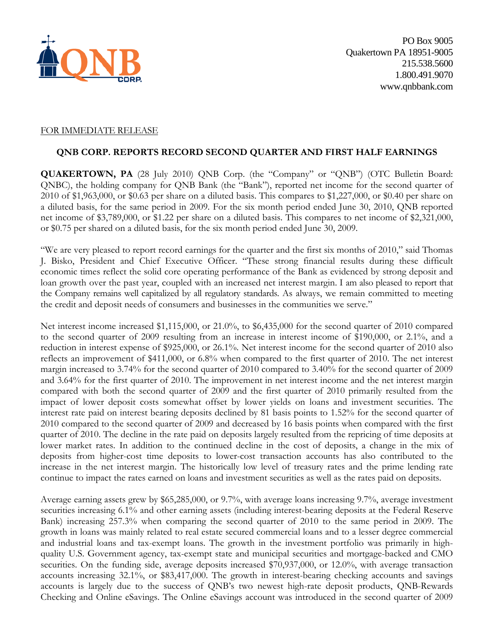

### FOR IMMEDIATE RELEASE

### **QNB CORP. REPORTS RECORD SECOND QUARTER AND FIRST HALF EARNINGS**

**QUAKERTOWN, PA** (28 July 2010) QNB Corp. (the "Company" or "QNB") (OTC Bulletin Board: QNBC), the holding company for QNB Bank (the "Bank"), reported net income for the second quarter of 2010 of \$1,963,000, or \$0.63 per share on a diluted basis. This compares to \$1,227,000, or \$0.40 per share on a diluted basis, for the same period in 2009. For the six month period ended June 30, 2010, QNB reported net income of \$3,789,000, or \$1.22 per share on a diluted basis. This compares to net income of \$2,321,000, or \$0.75 per shared on a diluted basis, for the six month period ended June 30, 2009.

"We are very pleased to report record earnings for the quarter and the first six months of 2010," said Thomas J. Bisko, President and Chief Executive Officer. "These strong financial results during these difficult economic times reflect the solid core operating performance of the Bank as evidenced by strong deposit and loan growth over the past year, coupled with an increased net interest margin. I am also pleased to report that the Company remains well capitalized by all regulatory standards. As always, we remain committed to meeting the credit and deposit needs of consumers and businesses in the communities we serve."

Net interest income increased \$1,115,000, or 21.0%, to \$6,435,000 for the second quarter of 2010 compared to the second quarter of 2009 resulting from an increase in interest income of \$190,000, or 2.1%, and a reduction in interest expense of \$925,000, or 26.1%. Net interest income for the second quarter of 2010 also reflects an improvement of \$411,000, or 6.8% when compared to the first quarter of 2010. The net interest margin increased to 3.74% for the second quarter of 2010 compared to 3.40% for the second quarter of 2009 and 3.64% for the first quarter of 2010. The improvement in net interest income and the net interest margin compared with both the second quarter of 2009 and the first quarter of 2010 primarily resulted from the impact of lower deposit costs somewhat offset by lower yields on loans and investment securities. The interest rate paid on interest bearing deposits declined by 81 basis points to 1.52% for the second quarter of 2010 compared to the second quarter of 2009 and decreased by 16 basis points when compared with the first quarter of 2010. The decline in the rate paid on deposits largely resulted from the repricing of time deposits at lower market rates. In addition to the continued decline in the cost of deposits, a change in the mix of deposits from higher-cost time deposits to lower-cost transaction accounts has also contributed to the increase in the net interest margin. The historically low level of treasury rates and the prime lending rate continue to impact the rates earned on loans and investment securities as well as the rates paid on deposits.

Average earning assets grew by \$65,285,000, or 9.7%, with average loans increasing 9.7%, average investment securities increasing 6.1% and other earning assets (including interest-bearing deposits at the Federal Reserve Bank) increasing 257.3% when comparing the second quarter of 2010 to the same period in 2009. The growth in loans was mainly related to real estate secured commercial loans and to a lesser degree commercial and industrial loans and tax-exempt loans. The growth in the investment portfolio was primarily in highquality U.S. Government agency, tax-exempt state and municipal securities and mortgage-backed and CMO securities. On the funding side, average deposits increased \$70,937,000, or 12.0%, with average transaction accounts increasing 32.1%, or \$83,417,000. The growth in interest-bearing checking accounts and savings accounts is largely due to the success of QNB's two newest high-rate deposit products, QNB-Rewards Checking and Online eSavings. The Online eSavings account was introduced in the second quarter of 2009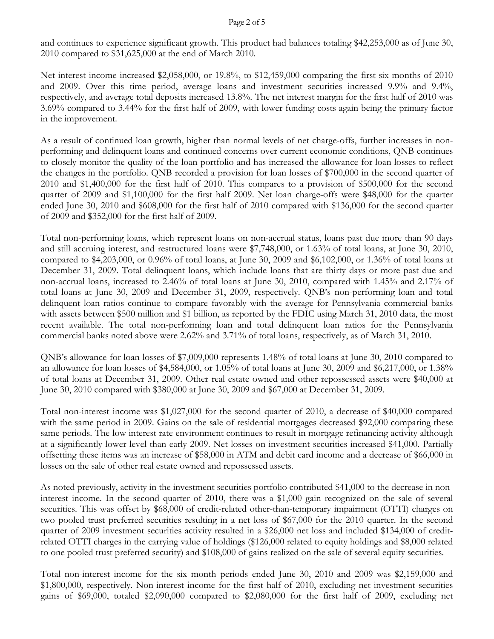and continues to experience significant growth. This product had balances totaling \$42,253,000 as of June 30, 2010 compared to \$31,625,000 at the end of March 2010.

Net interest income increased \$2,058,000, or 19.8%, to \$12,459,000 comparing the first six months of 2010 and 2009. Over this time period, average loans and investment securities increased 9.9% and 9.4%, respectively, and average total deposits increased 13.8%. The net interest margin for the first half of 2010 was 3.69% compared to 3.44% for the first half of 2009, with lower funding costs again being the primary factor in the improvement.

As a result of continued loan growth, higher than normal levels of net charge-offs, further increases in nonperforming and delinquent loans and continued concerns over current economic conditions, QNB continues to closely monitor the quality of the loan portfolio and has increased the allowance for loan losses to reflect the changes in the portfolio. QNB recorded a provision for loan losses of \$700,000 in the second quarter of 2010 and \$1,400,000 for the first half of 2010. This compares to a provision of \$500,000 for the second quarter of 2009 and \$1,100,000 for the first half 2009. Net loan charge-offs were \$48,000 for the quarter ended June 30, 2010 and \$608,000 for the first half of 2010 compared with \$136,000 for the second quarter of 2009 and \$352,000 for the first half of 2009.

Total non-performing loans, which represent loans on non-accrual status, loans past due more than 90 days and still accruing interest, and restructured loans were \$7,748,000, or 1.63% of total loans, at June 30, 2010, compared to \$4,203,000, or 0.96% of total loans, at June 30, 2009 and \$6,102,000, or 1.36% of total loans at December 31, 2009. Total delinquent loans, which include loans that are thirty days or more past due and non-accrual loans, increased to 2.46% of total loans at June 30, 2010, compared with 1.45% and 2.17% of total loans at June 30, 2009 and December 31, 2009, respectively. QNB's non-performing loan and total delinquent loan ratios continue to compare favorably with the average for Pennsylvania commercial banks with assets between \$500 million and \$1 billion, as reported by the FDIC using March 31, 2010 data, the most recent available. The total non-performing loan and total delinquent loan ratios for the Pennsylvania commercial banks noted above were 2.62% and 3.71% of total loans, respectively, as of March 31, 2010.

QNB's allowance for loan losses of \$7,009,000 represents 1.48% of total loans at June 30, 2010 compared to an allowance for loan losses of \$4,584,000, or 1.05% of total loans at June 30, 2009 and \$6,217,000, or 1.38% of total loans at December 31, 2009. Other real estate owned and other repossessed assets were \$40,000 at June 30, 2010 compared with \$380,000 at June 30, 2009 and \$67,000 at December 31, 2009.

Total non-interest income was \$1,027,000 for the second quarter of 2010, a decrease of \$40,000 compared with the same period in 2009. Gains on the sale of residential mortgages decreased \$92,000 comparing these same periods. The low interest rate environment continues to result in mortgage refinancing activity although at a significantly lower level than early 2009. Net losses on investment securities increased \$41,000. Partially offsetting these items was an increase of \$58,000 in ATM and debit card income and a decrease of \$66,000 in losses on the sale of other real estate owned and repossessed assets.

As noted previously, activity in the investment securities portfolio contributed \$41,000 to the decrease in noninterest income. In the second quarter of 2010, there was a \$1,000 gain recognized on the sale of several securities. This was offset by \$68,000 of credit-related other-than-temporary impairment (OTTI) charges on two pooled trust preferred securities resulting in a net loss of \$67,000 for the 2010 quarter. In the second quarter of 2009 investment securities activity resulted in a \$26,000 net loss and included \$134,000 of creditrelated OTTI charges in the carrying value of holdings (\$126,000 related to equity holdings and \$8,000 related to one pooled trust preferred security) and \$108,000 of gains realized on the sale of several equity securities.

Total non-interest income for the six month periods ended June 30, 2010 and 2009 was \$2,159,000 and \$1,800,000, respectively. Non-interest income for the first half of 2010, excluding net investment securities gains of \$69,000, totaled \$2,090,000 compared to \$2,080,000 for the first half of 2009, excluding net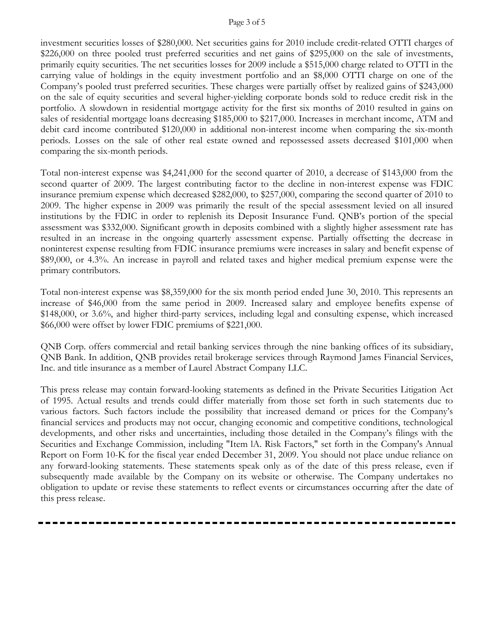#### Page 3 of 5

investment securities losses of \$280,000. Net securities gains for 2010 include credit-related OTTI charges of \$226,000 on three pooled trust preferred securities and net gains of \$295,000 on the sale of investments, primarily equity securities. The net securities losses for 2009 include a \$515,000 charge related to OTTI in the carrying value of holdings in the equity investment portfolio and an \$8,000 OTTI charge on one of the Company's pooled trust preferred securities. These charges were partially offset by realized gains of \$243,000 on the sale of equity securities and several higher-yielding corporate bonds sold to reduce credit risk in the portfolio. A slowdown in residential mortgage activity for the first six months of 2010 resulted in gains on sales of residential mortgage loans decreasing \$185,000 to \$217,000. Increases in merchant income, ATM and debit card income contributed \$120,000 in additional non-interest income when comparing the six-month periods. Losses on the sale of other real estate owned and repossessed assets decreased \$101,000 when comparing the six-month periods.

Total non-interest expense was \$4,241,000 for the second quarter of 2010, a decrease of \$143,000 from the second quarter of 2009. The largest contributing factor to the decline in non-interest expense was FDIC insurance premium expense which decreased \$282,000, to \$257,000, comparing the second quarter of 2010 to 2009. The higher expense in 2009 was primarily the result of the special assessment levied on all insured institutions by the FDIC in order to replenish its Deposit Insurance Fund. QNB's portion of the special assessment was \$332,000. Significant growth in deposits combined with a slightly higher assessment rate has resulted in an increase in the ongoing quarterly assessment expense. Partially offsetting the decrease in noninterest expense resulting from FDIC insurance premiums were increases in salary and benefit expense of \$89,000, or 4.3%. An increase in payroll and related taxes and higher medical premium expense were the primary contributors.

Total non-interest expense was \$8,359,000 for the six month period ended June 30, 2010. This represents an increase of \$46,000 from the same period in 2009. Increased salary and employee benefits expense of \$148,000, or 3.6%, and higher third-party services, including legal and consulting expense, which increased \$66,000 were offset by lower FDIC premiums of \$221,000.

QNB Corp. offers commercial and retail banking services through the nine banking offices of its subsidiary, QNB Bank. In addition, QNB provides retail brokerage services through Raymond James Financial Services, Inc. and title insurance as a member of Laurel Abstract Company LLC.

This press release may contain forward-looking statements as defined in the Private Securities Litigation Act of 1995. Actual results and trends could differ materially from those set forth in such statements due to various factors. Such factors include the possibility that increased demand or prices for the Company's financial services and products may not occur, changing economic and competitive conditions, technological developments, and other risks and uncertainties, including those detailed in the Company's filings with the Securities and Exchange Commission, including "Item lA. Risk Factors," set forth in the Company's Annual Report on Form 10-K for the fiscal year ended December 31, 2009. You should not place undue reliance on any forward-looking statements. These statements speak only as of the date of this press release, even if subsequently made available by the Company on its website or otherwise. The Company undertakes no obligation to update or revise these statements to reflect events or circumstances occurring after the date of this press release.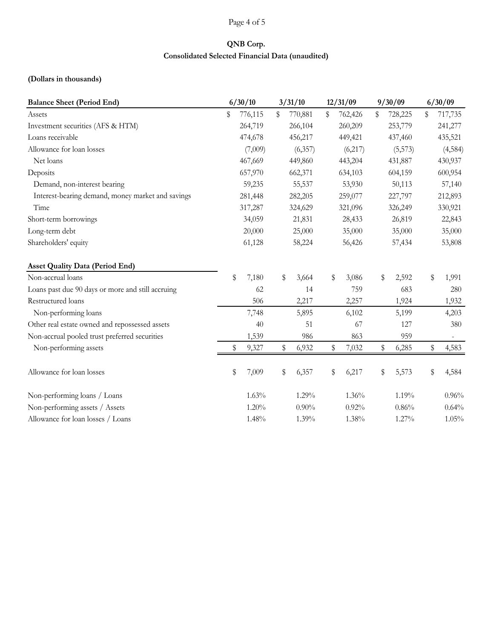### Page 4 of 5

# **QNB Corp. Consolidated Selected Financial Data (unaudited)**

## **(Dollars in thousands)**

| <b>Balance Sheet (Period End)</b>                 |         | 6/30/10 |         | 3/31/10  |         | 12/31/09 |        | 9/30/09 | 6/30/09 |          |  |
|---------------------------------------------------|---------|---------|---------|----------|---------|----------|--------|---------|---------|----------|--|
| Assets                                            | \$      | 776,115 | \$      | 770,881  | \$      | 762,426  | \$     | 728,225 | \$      | 717,735  |  |
| Investment securities (AFS & HTM)                 |         | 264,719 |         | 266,104  |         | 260,209  |        | 253,779 |         | 241,277  |  |
| Loans receivable                                  |         | 474,678 |         | 456,217  |         | 449,421  |        | 437,460 |         | 435,521  |  |
| Allowance for loan losses                         |         | (7,009) |         | (6,357)  |         | (6,217)  |        | (5,573) |         | (4, 584) |  |
| Net loans                                         |         | 467,669 |         | 449,860  |         | 443,204  |        | 431,887 |         | 430,937  |  |
| Deposits                                          |         | 657,970 |         | 662,371  |         | 634,103  |        | 604,159 |         | 600,954  |  |
| Demand, non-interest bearing                      |         | 59,235  |         | 55,537   |         | 53,930   |        | 50,113  |         | 57,140   |  |
| Interest-bearing demand, money market and savings |         | 281,448 |         | 282,205  |         | 259,077  |        | 227,797 | 212,893 |          |  |
| Time                                              | 317,287 |         | 324,629 |          | 321,096 |          |        | 326,249 | 330,921 |          |  |
| Short-term borrowings                             |         | 34,059  |         | 21,831   |         | 28,433   |        | 26,819  |         | 22,843   |  |
| Long-term debt                                    | 20,000  |         | 25,000  |          | 35,000  |          | 35,000 |         | 35,000  |          |  |
| Shareholders' equity                              |         | 61,128  |         | 58,224   |         | 56,426   |        | 57,434  |         | 53,808   |  |
| <b>Asset Quality Data (Period End)</b>            |         |         |         |          |         |          |        |         |         |          |  |
| Non-accrual loans                                 | \$      | 7,180   | \$      | 3,664    | \$      | 3,086    | \$     | 2,592   | \$      | 1,991    |  |
| Loans past due 90 days or more and still accruing |         | 62      |         | 14       |         | 759      |        | 683     |         | 280      |  |
| Restructured loans                                |         | 506     |         | 2,217    |         | 2,257    |        | 1,924   |         | 1,932    |  |
| Non-performing loans                              |         | 7,748   |         | 5,895    |         | 6,102    |        | 5,199   |         | 4,203    |  |
| Other real estate owned and repossessed assets    |         | 40      |         | 51       |         | 67       |        | 127     |         | 380      |  |
| Non-accrual pooled trust preferred securities     |         | 1,539   |         | 986      |         | 863      |        | 959     |         |          |  |
| Non-performing assets                             | \$      | 9,327   | \$      | 6,932    | \$      | 7,032    | \$     | 6,285   | \$      | 4,583    |  |
| Allowance for loan losses                         | \$      | 7,009   | \$      | 6,357    | \$      | 6,217    | \$     | 5,573   | \$      | 4,584    |  |
| Non-performing loans / Loans                      |         | 1.63%   |         | 1.29%    |         | 1.36%    |        | 1.19%   |         | 0.96%    |  |
| Non-performing assets / Assets                    |         | 1.20%   |         | $0.90\%$ |         | 0.92%    |        | 0.86%   |         | 0.64%    |  |
| Allowance for loan losses / Loans                 |         | 1.48%   |         | 1.39%    |         | 1.38%    |        | 1.27%   |         | 1.05%    |  |